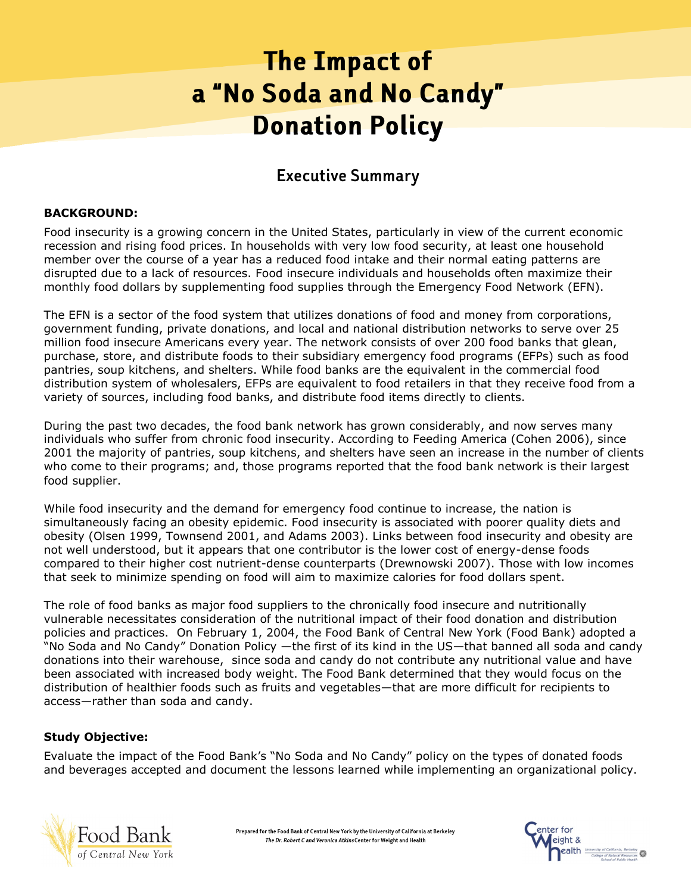# **The Impact of** a "No Soda and No Candy" **Donation Policy**

# **Executive Summary**

## **BACKGROUND:**

Food insecurity is a growing concern in the United States, particularly in view of the current economic recession and rising food prices. In households with very low food security, at least one household member over the course of a year has a reduced food intake and their normal eating patterns are disrupted due to a lack of resources. Food insecure individuals and households often maximize their monthly food dollars by supplementing food supplies through the Emergency Food Network (EFN).

The EFN is a sector of the food system that utilizes donations of food and money from corporations, government funding, private donations, and local and national distribution networks to serve over 25 million food insecure Americans every year. The network consists of over 200 food banks that glean, purchase, store, and distribute foods to their subsidiary emergency food programs (EFPs) such as food pantries, soup kitchens, and shelters. While food banks are the equivalent in the commercial food distribution system of wholesalers, EFPs are equivalent to food retailers in that they receive food from a variety of sources, including food banks, and distribute food items directly to clients.

During the past two decades, the food bank network has grown considerably, and now serves many individuals who suffer from chronic food insecurity. According to Feeding America (Cohen 2006), since 2001 the majority of pantries, soup kitchens, and shelters have seen an increase in the number of clients who come to their programs; and, those programs reported that the food bank network is their largest food supplier.

While food insecurity and the demand for emergency food continue to increase, the nation is simultaneously facing an obesity epidemic. Food insecurity is associated with poorer quality diets and obesity (Olsen 1999, Townsend 2001, and Adams 2003). Links between food insecurity and obesity are not well understood, but it appears that one contributor is the lower cost of energy-dense foods compared to their higher cost nutrient-dense counterparts (Drewnowski 2007). Those with low incomes that seek to minimize spending on food will aim to maximize calories for food dollars spent.

The role of food banks as major food suppliers to the chronically food insecure and nutritionally vulnerable necessitates consideration of the nutritional impact of their food donation and distribution policies and practices. On February 1, 2004, the Food Bank of Central New York (Food Bank) adopted a "No Soda and No Candy" Donation Policy —the first of its kind in the US—that banned all soda and candy donations into their warehouse, since soda and candy do not contribute any nutritional value and have been associated with increased body weight. The Food Bank determined that they would focus on the distribution of healthier foods such as fruits and vegetables—that are more difficult for recipients to access—rather than soda and candy.

# **Study Objective:**

Evaluate the impact of the Food Bank"s "No Soda and No Candy" policy on the types of donated foods and beverages accepted and document the lessons learned while implementing an organizational policy.



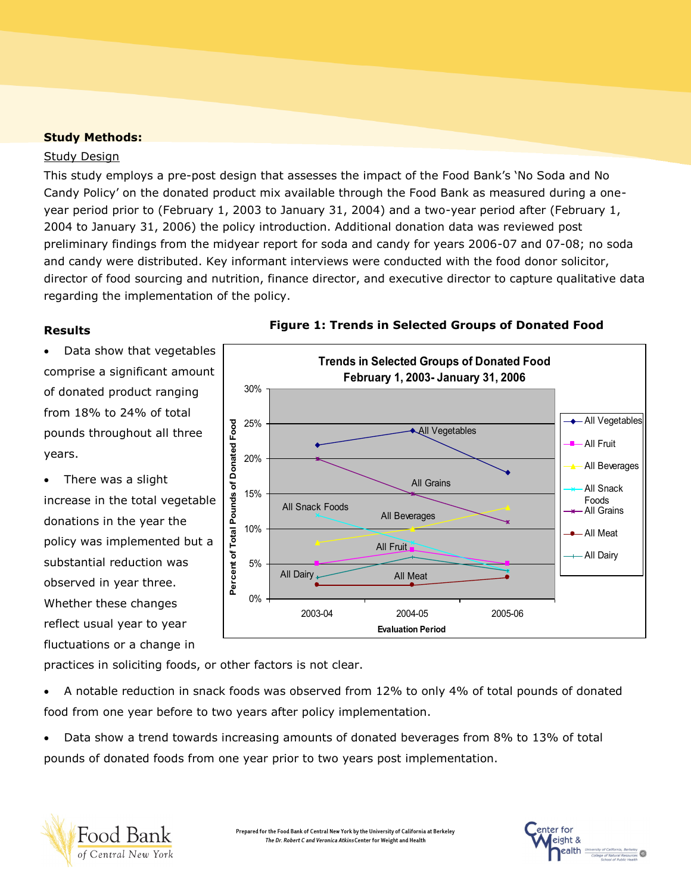# **Study Methods:**

### Study Design

This study employs a pre-post design that assesses the impact of the Food Bank's 'No Soda and No Candy Policy" on the donated product mix available through the Food Bank as measured during a oneyear period prior to (February 1, 2003 to January 31, 2004) and a two-year period after (February 1, 2004 to January 31, 2006) the policy introduction. Additional donation data was reviewed post preliminary findings from the midyear report for soda and candy for years 2006-07 and 07-08; no soda and candy were distributed. Key informant interviews were conducted with the food donor solicitor, director of food sourcing and nutrition, finance director, and executive director to capture qualitative data regarding the implementation of the policy.

 Data show that vegetables comprise a significant amount of donated product ranging from 18% to 24% of total pounds throughout all three years.

 There was a slight increase in the total vegetable donations in the year the policy was implemented but a substantial reduction was observed in year three. Whether these changes reflect usual year to year fluctuations or a change in



# **Results Figure 1: Trends in Selected Groups of Donated Food**

practices in soliciting foods, or other factors is not clear.

 A notable reduction in snack foods was observed from 12% to only 4% of total pounds of donated food from one year before to two years after policy implementation.

 Data show a trend towards increasing amounts of donated beverages from 8% to 13% of total pounds of donated foods from one year prior to two years post implementation.



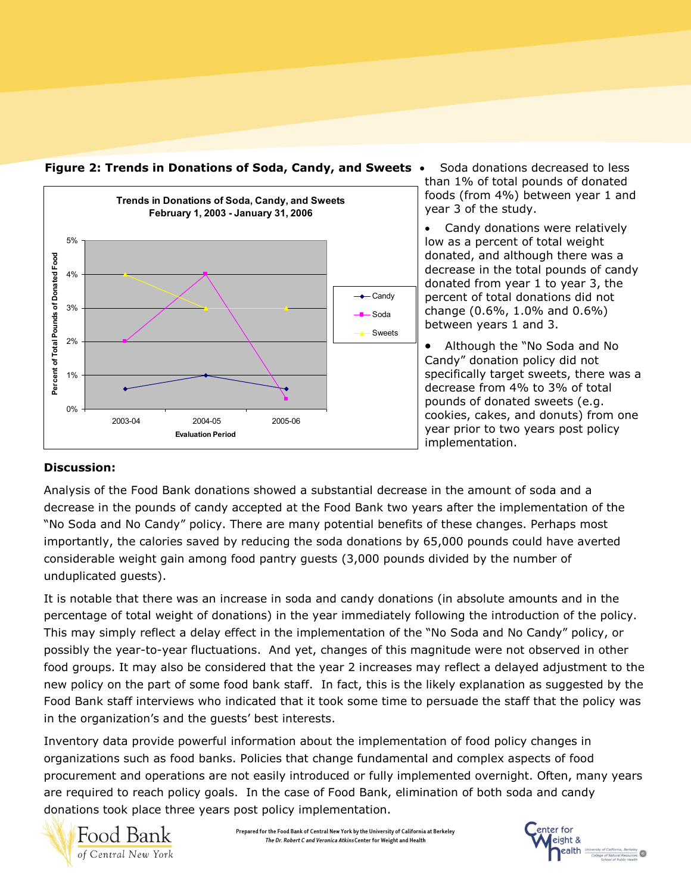

**Figure 2: Trends in Donations of Soda, Candy, and Sweets**

 Soda donations decreased to less than 1% of total pounds of donated foods (from 4%) between year 1 and year 3 of the study.

• Candy donations were relatively low as a percent of total weight donated, and although there was a decrease in the total pounds of candy donated from year 1 to year 3, the percent of total donations did not change (0.6%, 1.0% and 0.6%) between years 1 and 3.

 Although the "No Soda and No Candy" donation policy did not specifically target sweets, there was a decrease from 4% to 3% of total pounds of donated sweets (e.g. cookies, cakes, and donuts) from one year prior to two years post policy implementation.

# **Discussion:**

Analysis of the Food Bank donations showed a substantial decrease in the amount of soda and a decrease in the pounds of candy accepted at the Food Bank two years after the implementation of the "No Soda and No Candy" policy. There are many potential benefits of these changes. Perhaps most importantly, the calories saved by reducing the soda donations by 65,000 pounds could have averted considerable weight gain among food pantry guests (3,000 pounds divided by the number of unduplicated guests).

It is notable that there was an increase in soda and candy donations (in absolute amounts and in the percentage of total weight of donations) in the year immediately following the introduction of the policy. This may simply reflect a delay effect in the implementation of the "No Soda and No Candy" policy, or possibly the year-to-year fluctuations. And yet, changes of this magnitude were not observed in other food groups. It may also be considered that the year 2 increases may reflect a delayed adjustment to the new policy on the part of some food bank staff. In fact, this is the likely explanation as suggested by the Food Bank staff interviews who indicated that it took some time to persuade the staff that the policy was in the organization's and the guests' best interests.

Inventory data provide powerful information about the implementation of food policy changes in organizations such as food banks. Policies that change fundamental and complex aspects of food procurement and operations are not easily introduced or fully implemented overnight. Often, many years are required to reach policy goals. In the case of Food Bank, elimination of both soda and candy donations took place three years post policy implementation.